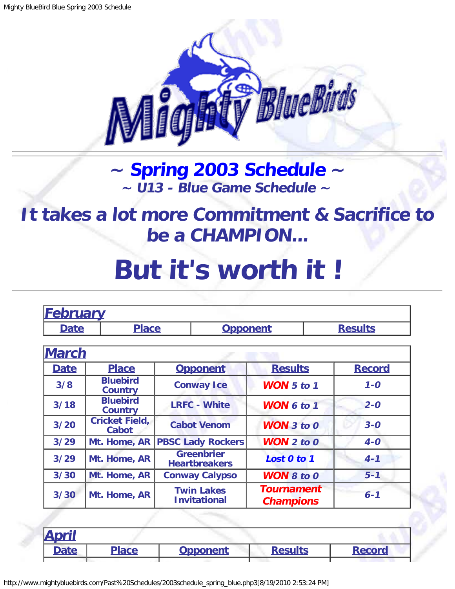

## **~ [Spring 2003 Schedule](#page-0-0) ~ ~ U13 - Blue Game Schedule ~**

<span id="page-0-1"></span>**It takes a lot more Commitment & Sacrifice to be a CHAMPION...**

## **But it's worth it !**

<span id="page-0-0"></span>

| <b>February</b>             |                                   |                                            |                                           |                                       |               |
|-----------------------------|-----------------------------------|--------------------------------------------|-------------------------------------------|---------------------------------------|---------------|
| <b>Date</b><br><b>Place</b> |                                   | <b>Opponent</b>                            |                                           | <b>Results</b>                        |               |
|                             |                                   |                                            |                                           |                                       |               |
| <b>March</b>                |                                   |                                            |                                           |                                       |               |
| <b>Date</b>                 | <b>Place</b>                      |                                            | <b>Opponent</b>                           | <b>Results</b>                        | <b>Record</b> |
| 3/8                         | <b>Bluebird</b><br><b>Country</b> | <b>Conway Ice</b><br><b>WON</b> $5$ to $1$ |                                           | $1 - 0$                               |               |
| 3/18                        | <b>Bluebird</b><br><b>Country</b> | <b>LRFC - White</b><br><b>WON 6 to 1</b>   |                                           | $2 - 0$                               |               |
| 3/20                        | <b>Cricket Field,</b><br>Cabot    |                                            | <b>Cabot Venom</b>                        | <b>WON</b> $3$ to $0$                 | $3 - 0$       |
| 3/29                        | Mt. Home, AR                      |                                            | <b>PBSC Lady Rockers</b>                  | $WON$ 2 to 0                          | $4-0$         |
| 3/29                        | Mt. Home, AR                      |                                            | <b>Greenbrier</b><br><b>Heartbreakers</b> | Lost 0 to 1                           | $4 - 1$       |
| 3/30                        | Mt. Home, AR                      |                                            | <b>Conway Calypso</b>                     | <b>WON 8 to 0</b>                     | $5 - 1$       |
| 3/30                        | Mt. Home, AR                      |                                            | <b>Twin Lakes</b><br><b>Invitational</b>  | <b>Tournament</b><br><b>Champions</b> | $6 - 1$       |

| <b>April</b> |              |                 |                |               |
|--------------|--------------|-----------------|----------------|---------------|
| <b>Date</b>  | <b>Place</b> | <b>Opponent</b> | <b>Results</b> | <b>Record</b> |
|              |              |                 |                |               |

http://www.mightybluebirds.com/Past%20Schedules/2003schedule\_spring\_blue.php3[8/19/2010 2:53:24 PM]